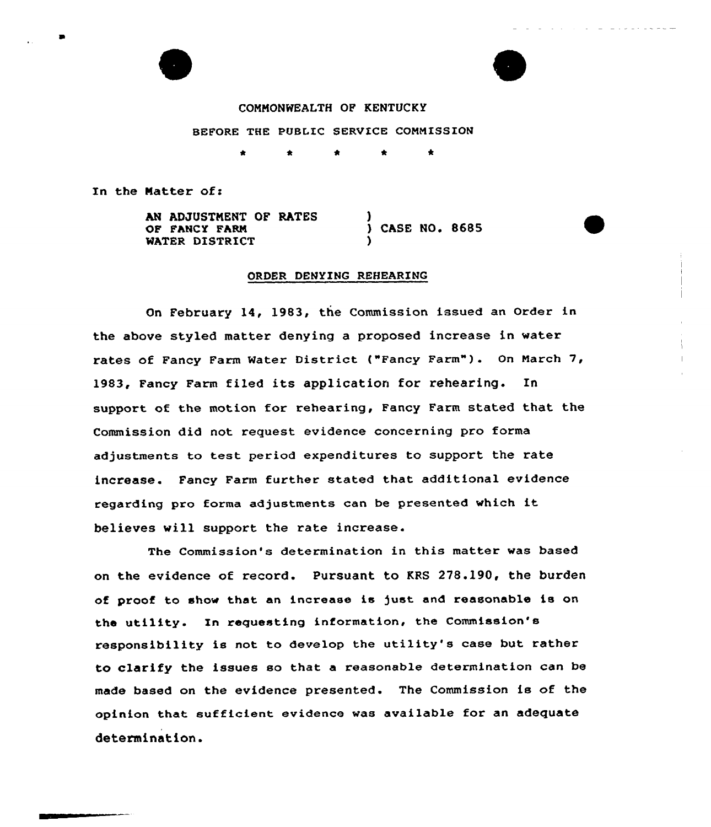



COMMONWEALTH OF KENTUCKY BEFORE THE PUBLIC SERVICE COMMISSION  $\bullet$ 

In the Matter of:

AN ADJUSTNENT OF RATES OF FANCY FARM MATER DISTRICT ) ) CASE NO. 8685 )

## ORDER DENYING REHEARING

On February 14, 1983, the Commission issued an Order in the above styled matter denying a proposed increase in water rates of Fancy Farm Water District ("Fancy Farm"). On March 7, 1983, Fancy Farm fiLed its application for rehearing. In support of the motion for rehearing, Fancy Farm stated that the Commission did not request evidence concerning pro forma adjustments to test period expenditures to support the rate increase. Fancy Farm further stated that additional evidence regarding pro forma adjustments can be presented which it believes will support the rate increase.

The Commission's determination in this matter was based on the evidence of record. Pursuant to KRS 278.190, the burden of proof to show that an increase is just and reasonable is on the utility. In requesting information, the Commission's responsibility is not to develop the utility's case but rather to clarify the issues so that a reasonable determination can be made based on the evidence presented. The Commission is of the opinion that sufficient evidence was available for an adequate determination.